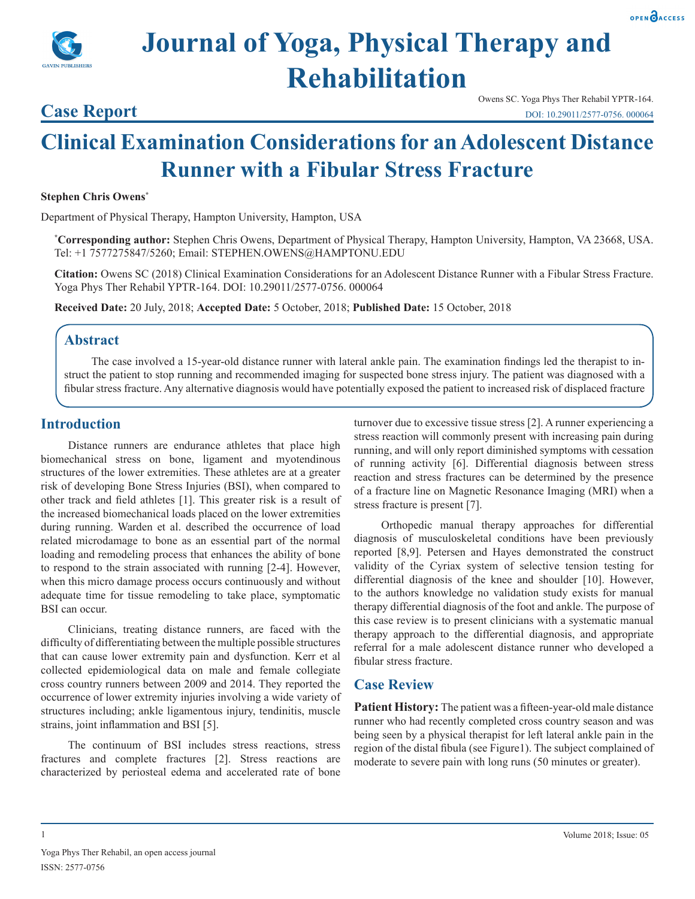

# **Journal of Yoga, Physical Therapy and Rehabilitation**

### **Case Report**

Owens SC. Yoga Phys Ther Rehabil YPTR-164. DOI: 10.29011/2577-0756. 000064

## **Clinical Examination Considerations for an Adolescent Distance Runner with a Fibular Stress Fracture**

#### **Stephen Chris Owens\***

Department of Physical Therapy, Hampton University, Hampton, USA

**\* Corresponding author:** Stephen Chris Owens, Department of Physical Therapy, Hampton University, Hampton, VA 23668, USA. Tel: +1 7577275847/5260; Email: STEPHEN.OWENS@HAMPTONU.EDU

**Citation:** Owens SC (2018) Clinical Examination Considerations for an Adolescent Distance Runner with a Fibular Stress Fracture. Yoga Phys Ther Rehabil YPTR-164. DOI: 10.29011/2577-0756. 000064

**Received Date:** 20 July, 2018; **Accepted Date:** 5 October, 2018; **Published Date:** 15 October, 2018

#### **Abstract**

The case involved a 15-year-old distance runner with lateral ankle pain. The examination findings led the therapist to instruct the patient to stop running and recommended imaging for suspected bone stress injury. The patient was diagnosed with a fibular stress fracture. Any alternative diagnosis would have potentially exposed the patient to increased risk of displaced fracture

#### **Introduction**

Distance runners are endurance athletes that place high biomechanical stress on bone, ligament and myotendinous structures of the lower extremities. These athletes are at a greater risk of developing Bone Stress Injuries (BSI), when compared to other track and field athletes [1]. This greater risk is a result of the increased biomechanical loads placed on the lower extremities during running. Warden et al. described the occurrence of load related microdamage to bone as an essential part of the normal loading and remodeling process that enhances the ability of bone to respond to the strain associated with running [2-4]. However, when this micro damage process occurs continuously and without adequate time for tissue remodeling to take place, symptomatic BSI can occur.

Clinicians, treating distance runners, are faced with the difficulty of differentiating between the multiple possible structures that can cause lower extremity pain and dysfunction. Kerr et al collected epidemiological data on male and female collegiate cross country runners between 2009 and 2014. They reported the occurrence of lower extremity injuries involving a wide variety of structures including; ankle ligamentous injury, tendinitis, muscle strains, joint inflammation and BSI [5].

The continuum of BSI includes stress reactions, stress fractures and complete fractures [2]. Stress reactions are characterized by periosteal edema and accelerated rate of bone

turnover due to excessive tissue stress [2]. A runner experiencing a stress reaction will commonly present with increasing pain during running, and will only report diminished symptoms with cessation of running activity [6]. Differential diagnosis between stress reaction and stress fractures can be determined by the presence of a fracture line on Magnetic Resonance Imaging (MRI) when a stress fracture is present [7].

Orthopedic manual therapy approaches for differential diagnosis of musculoskeletal conditions have been previously reported [8,9]. Petersen and Hayes demonstrated the construct validity of the Cyriax system of selective tension testing for differential diagnosis of the knee and shoulder [10]. However, to the authors knowledge no validation study exists for manual therapy differential diagnosis of the foot and ankle. The purpose of this case review is to present clinicians with a systematic manual therapy approach to the differential diagnosis, and appropriate referral for a male adolescent distance runner who developed a fibular stress fracture.

#### **Case Review**

**Patient History:** The patient was a fifteen-year-old male distance runner who had recently completed cross country season and was being seen by a physical therapist for left lateral ankle pain in the region of the distal fibula (see Figure1). The subject complained of moderate to severe pain with long runs (50 minutes or greater).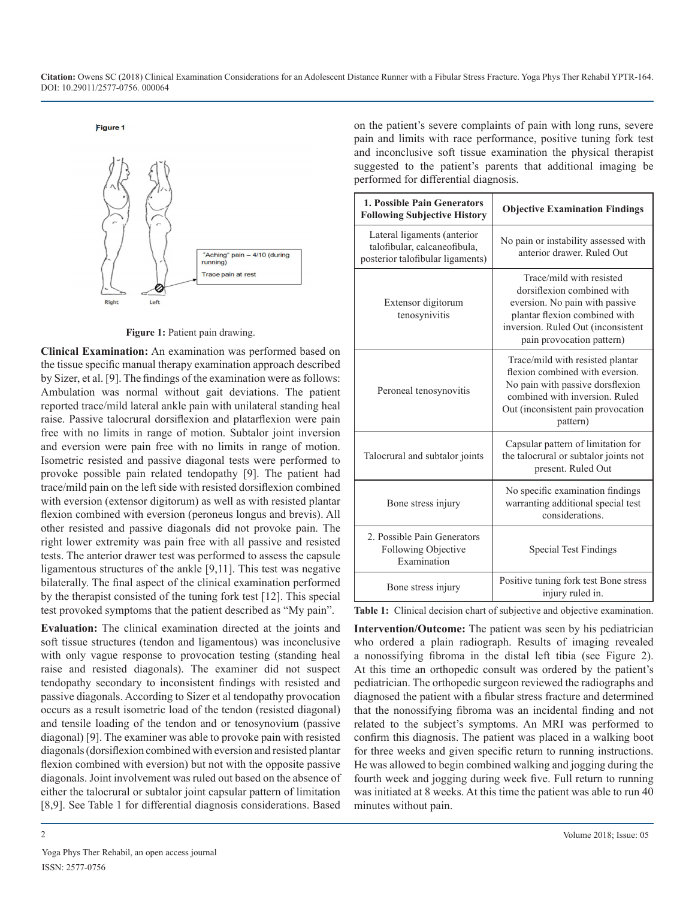**Citation:** Owens SC (2018) Clinical Examination Considerations for an Adolescent Distance Runner with a Fibular Stress Fracture. Yoga Phys Ther Rehabil YPTR-164. DOI: 10.29011/2577-0756. 000064

#### Figure 1



**Figure 1:** Patient pain drawing.

**Clinical Examination:** An examination was performed based on the tissue specific manual therapy examination approach described by Sizer, et al. [9]. The findings of the examination were as follows: Ambulation was normal without gait deviations. The patient reported trace/mild lateral ankle pain with unilateral standing heal raise. Passive talocrural dorsiflexion and platarflexion were pain free with no limits in range of motion. Subtalor joint inversion and eversion were pain free with no limits in range of motion. Isometric resisted and passive diagonal tests were performed to provoke possible pain related tendopathy [9]. The patient had trace/mild pain on the left side with resisted dorsiflexion combined with eversion (extensor digitorum) as well as with resisted plantar flexion combined with eversion (peroneus longus and brevis). All other resisted and passive diagonals did not provoke pain. The right lower extremity was pain free with all passive and resisted tests. The anterior drawer test was performed to assess the capsule ligamentous structures of the ankle [9,11]. This test was negative bilaterally. The final aspect of the clinical examination performed by the therapist consisted of the tuning fork test [12]. This special test provoked symptoms that the patient described as "My pain".

**Evaluation:** The clinical examination directed at the joints and soft tissue structures (tendon and ligamentous) was inconclusive with only vague response to provocation testing (standing heal raise and resisted diagonals). The examiner did not suspect tendopathy secondary to inconsistent findings with resisted and passive diagonals. According to Sizer et al tendopathy provocation occurs as a result isometric load of the tendon (resisted diagonal) and tensile loading of the tendon and or tenosynovium (passive diagonal) [9]. The examiner was able to provoke pain with resisted diagonals (dorsiflexion combined with eversion and resisted plantar flexion combined with eversion) but not with the opposite passive diagonals. Joint involvement was ruled out based on the absence of either the talocrural or subtalor joint capsular pattern of limitation [8,9]. See Table 1 for differential diagnosis considerations. Based

on the patient's severe complaints of pain with long runs, severe pain and limits with race performance, positive tuning fork test and inconclusive soft tissue examination the physical therapist suggested to the patient's parents that additional imaging be performed for differential diagnosis.

| 1. Possible Pain Generators<br><b>Following Subjective History</b>                              | <b>Objective Examination Findings</b>                                                                                                                                                        |
|-------------------------------------------------------------------------------------------------|----------------------------------------------------------------------------------------------------------------------------------------------------------------------------------------------|
| Lateral ligaments (anterior<br>talofibular, calcaneofibula,<br>posterior talofibular ligaments) | No pain or instability assessed with<br>anterior drawer. Ruled Out                                                                                                                           |
| Extensor digitorum<br>tenosynivitis                                                             | Trace/mild with resisted<br>dorsiflexion combined with<br>eversion. No pain with passive<br>plantar flexion combined with<br>inversion. Ruled Out (inconsistent<br>pain provocation pattern) |
| Peroneal tenosynovitis                                                                          | Trace/mild with resisted plantar<br>flexion combined with eversion.<br>No pain with passive dorsflexion<br>combined with inversion. Ruled<br>Out (inconsistent pain provocation<br>pattern)  |
| Talocrural and subtalor joints                                                                  | Capsular pattern of limitation for<br>the talocrural or subtalor joints not<br>present. Ruled Out                                                                                            |
| Bone stress injury                                                                              | No specific examination findings<br>warranting additional special test<br>considerations.                                                                                                    |
| 2. Possible Pain Generators<br>Following Objective<br>Examination                               | <b>Special Test Findings</b>                                                                                                                                                                 |
| Bone stress injury                                                                              | Positive tuning fork test Bone stress<br>injury ruled in.                                                                                                                                    |

**Table 1:** Clinical decision chart of subjective and objective examination.

**Intervention/Outcome:** The patient was seen by his pediatrician who ordered a plain radiograph. Results of imaging revealed a nonossifying fibroma in the distal left tibia (see Figure 2). At this time an orthopedic consult was ordered by the patient's pediatrician. The orthopedic surgeon reviewed the radiographs and diagnosed the patient with a fibular stress fracture and determined that the nonossifying fibroma was an incidental finding and not related to the subject's symptoms. An MRI was performed to confirm this diagnosis. The patient was placed in a walking boot for three weeks and given specific return to running instructions. He was allowed to begin combined walking and jogging during the fourth week and jogging during week five. Full return to running was initiated at 8 weeks. At this time the patient was able to run 40 minutes without pain.